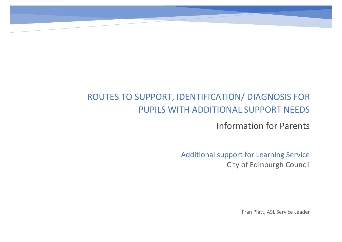# ROUTES TO SUPPORT, IDENTIFICATION/ DIAGNOSIS FOR PUPILS WITH ADDITIONAL SUPPORT NEEDS

So mu

Information for Parents

Additional support for Learning Service City of Edinburgh Council

Fran Platt, ASL Service Leader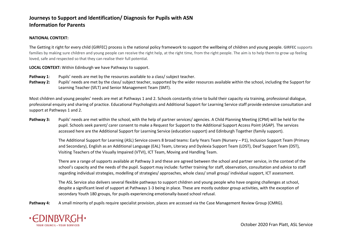#### **NATIONAL CONTEXT:**

The Getting it right for every child (GIRFEC) process is the national policy framework to support the wellbeing of children and young people. **GIRFEC** supports families by making sure children and young people can receive the right help, at the right time, from the right people. The aim is to help them to grow up feeling loved, safe and respected so that they can realise their full potential.

#### **LOCAL CONTEXT:** Within Edinburgh we have Pathways to support.

- **Pathway 1**: Pupils' needs are met by the resources available to a class/ subject teacher.
- **Pathway 2:** Pupils' needs are met by the class/ subject teacher, supported by the wider resources available within the school, including the Support for Learning Teacher (SfLT) and Senior Management Team (SMT).

Most children and young peoples' needs are met at Pathways 1 and 2. Schools constantly strive to build their capacity via training, professional dialogue, professional enquiry and sharing of practice. Educational Psychologists and Additional Support for Learning Service staff provide extensive consultation and support at Pathways 1 and 2.

**Pathway 3:** Pupils' needs are met within the school, with the help of partner services/ agencies. A Child Planning Meeting (CPM) will be held for the pupil. Schools seek parent/ carer consent to make a Request for Support to the Additional Support Access Point (ASAP). The services accessed here are the Additional Support for Learning Service (education support) and Edinburgh Together (family support).

> The Additional Support for Learning (ASL) Service covers 8 broad teams: Early Years Team (Nursery – P1), Inclusion Support Team (Primary and Secondary), English as an Additional Language (EAL) Team, Literacy and Dyslexia Support Team (LDST), Deaf Support Team (DST), Visiting Teachers of the Visually Impaired (VTVI), ICT Team, Moving and Handling Team.

There are a range of supports available at Pathway 3 and these are agreed between the school and partner service, in the context of the school's capacity and the needs of the pupil. Support may include: further training for staff, observation, consultation and advice to staff regarding individual strategies, modelling of strategies/ approaches, whole class/ small group/ individual support, ICT assessment.

The ASL Service also delivers several flexible pathways to support children and young people who have ongoing challenges at school, despite a significant level of support at Pathways 1-3 being in place. These are mostly outdoor group activities, with the exception of secondary Youth 180 groups, for pupils experiencing emotionally-based school refusal.

Pathway 4: A small minority of pupils require specialist provision, places are accessed via the Case Management Review Group (CMRG).



October 2020 Fran Platt, ASL Service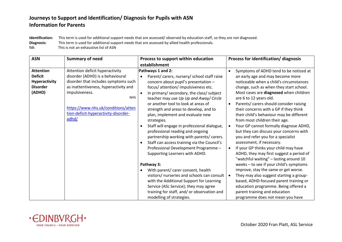**Identification:** This term is used for additional support needs that are assessed/ observed by education staff, so they are not diagnosed.

**Diagnosis:** This term is used for additional support needs that are assessed by allied health professionals.

NB: This is not an exhaustive list of ASN

| <b>ASN</b>       | <b>Summary of need</b>                | Process to support within education                      | Process for identification/diagnosis                 |
|------------------|---------------------------------------|----------------------------------------------------------|------------------------------------------------------|
|                  |                                       | establishment                                            |                                                      |
| <b>Attention</b> | Attention deficit hyperactivity       | Pathways 1 and 2:                                        | Symptoms of ADHD tend to be noticed at<br>$\bullet$  |
| <b>Deficit</b>   | disorder (ADHD) is a behavioural      | Parent/ carers, nursery/ school staff raise              | an early age and may become more                     |
| Hyperactivity    | disorder that includes symptoms such  | concern about pupil's presentation -                     | noticeable when a child's circumstances              |
| <b>Disorder</b>  | as inattentiveness, hyperactivity and | focus/ attention/ impulsiveness etc.                     | change, such as when they start school.              |
| (ADHD)           | impulsiveness.                        | In primary/ secondary, the class/ subject                | Most cases are diagnosed when children               |
|                  | <b>NHS</b>                            | teacher may use Up Up and Away/ Circle                   | are 6 to 12 years old.                               |
|                  |                                       | or another tool to look at areas of                      | Parents/ carers should consider raising<br>$\bullet$ |
|                  | https://www.nhs.uk/conditions/atten   | strength and areas to develop, and to                    | their concerns with a GP if they think               |
|                  | tion-deficit-hyperactivity-disorder-  | plan, implement and evaluate new                         | their child's behaviour may be different             |
|                  | adhd/                                 | strategies.                                              | from most children their age.                        |
|                  |                                       | Staff will engage in professional dialogue,<br>$\bullet$ | Your GP cannot formally diagnose ADHD,<br>$\bullet$  |
|                  |                                       | professional reading and ongoing                         | but they can discuss your concerns with              |
|                  |                                       | partnership working with parents/ carers.                | you and refer you for a specialist                   |
|                  |                                       | Staff can access training via the Council's              | assessment, if necessary.                            |
|                  |                                       | Professional Development Programme -                     | If your GP thinks your child may have<br>$\bullet$   |
|                  |                                       | Supporting Learners with ADHD.                           | ADHD, they may first suggest a period of             |
|                  |                                       |                                                          | "watchful waiting" - lasting around 10               |
|                  |                                       | Pathway 3:                                               | weeks - to see if your child's symptoms              |
|                  |                                       | With parent/ carer consent, health                       | improve, stay the same or get worse.                 |
|                  |                                       | visitors/ nurseries and schools can consult              | They may also suggest starting a group-<br>$\bullet$ |
|                  |                                       | with the Additional Support for Learning                 | based, ADHD-focused parent training or               |
|                  |                                       | Service (ASL Service); they may agree                    | education programme. Being offered a                 |
|                  |                                       | training for staff, and/ or observation and              | parent training and education                        |
|                  |                                       | modelling of strategies.                                 | programme does not mean you have                     |

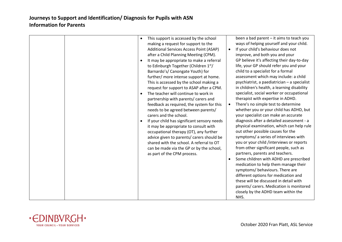| This support is accessed by the school<br>$\bullet$<br>making a request for support to the<br>Additional Services Access Point (ASAP)<br>after a Child Planning Meeting (CPM).<br>It may be appropriate to make a referral<br>$\bullet$<br>to Edinburgh Together (Children 1st/<br>Barnardo's/ Canongate Youth) for<br>further/ more intense support at home.<br>This is accessed by the school making a<br>request for support to ASAP after a CPM.<br>The teacher will continue to work in<br>$\bullet$<br>partnership with parents/ carers and<br>feedback as required, the system for this<br>needs to be agreed between parents/<br>carers and the school.<br>If your child has significant sensory needs<br>$\bullet$<br>it may be appropriate to consult with<br>occupational therapy (OT), any further<br>advice given to parents/ carers should be<br>shared with the school. A referral to OT<br>can be made via the GP or by the school,<br>as part of the CPM process. | $\bullet$ | been a bad parent - it aims to teach you<br>ways of helping yourself and your child.<br>If your child's behaviour does not<br>improve, and both you and your<br>GP believe it's affecting their day-to-day<br>life, your GP should refer you and your<br>child to a specialist for a formal<br>assessment which may include: a child<br>psychiatrist, a paediatrician - a specialist<br>in children's health, a learning disability<br>specialist, social worker or occupational<br>therapist with expertise in ADHD.<br>There's no simple test to determine<br>whether you or your child has ADHD, but<br>your specialist can make an accurate<br>diagnosis after a detailed assessment - a<br>physical examination, which can help rule<br>out other possible causes for the<br>symptoms/ a series of interviews with<br>you or your child /interviews or reports<br>from other significant people, such as<br>partners, parents and teachers.<br>Some children with ADHD are prescribed<br>medication to help them manage their<br>symptoms/ behaviours. There are<br>different options for medication and<br>these will be discussed in detail with<br>parents/ carers. Medication is monitored<br>closely by the ADHD team within the<br>NHS. |
|------------------------------------------------------------------------------------------------------------------------------------------------------------------------------------------------------------------------------------------------------------------------------------------------------------------------------------------------------------------------------------------------------------------------------------------------------------------------------------------------------------------------------------------------------------------------------------------------------------------------------------------------------------------------------------------------------------------------------------------------------------------------------------------------------------------------------------------------------------------------------------------------------------------------------------------------------------------------------------|-----------|----------------------------------------------------------------------------------------------------------------------------------------------------------------------------------------------------------------------------------------------------------------------------------------------------------------------------------------------------------------------------------------------------------------------------------------------------------------------------------------------------------------------------------------------------------------------------------------------------------------------------------------------------------------------------------------------------------------------------------------------------------------------------------------------------------------------------------------------------------------------------------------------------------------------------------------------------------------------------------------------------------------------------------------------------------------------------------------------------------------------------------------------------------------------------------------------------------------------------------------------------|

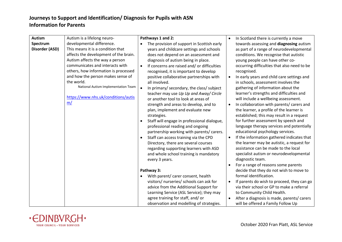| <b>Autism</b>  | Autism is a lifelong neuro-           | Pathways 1 and 2:                                       |           | In Scotland there is currently a move       |
|----------------|---------------------------------------|---------------------------------------------------------|-----------|---------------------------------------------|
| Spectrum       | developmental difference.             | The provision of support in Scottish early<br>$\bullet$ |           | towards assessing and diagnosing autism     |
| Disorder (ASD) | This means it is a condition that     | years and childcare settings and schools                |           | as part of a range of neurodevelopmental    |
|                | affects the development of the brain. | does not depend on an assessment and                    |           | conditions. We recognise that autistic      |
|                | Autism affects the way a person       | diagnosis of autism being in place.                     |           | young people can have other co-             |
|                | communicates and interacts with       | If concerns are raised and/or difficulties              |           | occurring difficulties that also need to be |
|                | others, how information is processed  | recognised, it is important to develop                  |           | recognised.                                 |
|                | and how the person makes sense of     | positive collaborative partnerships with                | $\bullet$ | In early years and child care settings and  |
|                | the world.                            | all involved.                                           |           | in schools, assessment involves the         |
|                | National Autism Implementation Team   | In primary/ secondary, the class/ subject<br>$\bullet$  |           | gathering of information about the          |
|                |                                       | teacher may use Up Up and Away/ Circle                  |           | learner's strengths and difficulties and    |
|                | https://www.nhs.uk/conditions/autis   | or another tool to look at areas of                     |           | will include a wellbeing assessment.        |
|                | m/                                    | strength and areas to develop, and to                   |           | In collaboration with parents/ carers and   |
|                |                                       | plan, implement and evaluate new                        |           | the learner, a profile of the learner is    |
|                |                                       |                                                         |           |                                             |
|                |                                       | strategies.                                             |           | established; this may result in a request   |
|                |                                       | Staff will engage in professional dialogue,             |           | for further assessment by speech and        |
|                |                                       | professional reading and ongoing                        |           | language therapy services and potentially   |
|                |                                       | partnership working with parents/ carers.               |           | educational psychology services.            |
|                |                                       | Staff can access training via the CPD<br>$\bullet$      |           | If the information gathered indicates that  |
|                |                                       | Directory, there are several courses                    |           | the learner may be autistic, a request for  |
|                |                                       | regarding supporting learners with ASD                  |           | assistance can be made to the local         |
|                |                                       | and whole school training is mandatory                  |           | specialist autism or neurodevelopmental     |
|                |                                       | every 3 years.                                          |           | diagnostic team.                            |
|                |                                       |                                                         |           | For a range of reasons some parents         |
|                |                                       | Pathway 3:                                              |           | decide that they do not wish to move to     |
|                |                                       | With parent/ carer consent, health<br>$\bullet$         |           | formal identification.                      |
|                |                                       | visitors/ nurseries/ schools can ask for                |           | If parents do wish to proceed, they can go  |
|                |                                       | advice from the Additional Support for                  |           | via their school or GP to make a referral   |
|                |                                       | Learning Service (ASL Service); they may                |           | to Community Child Health.                  |
|                |                                       | agree training for staff, and/or                        |           | After a diagnosis is made, parents/ carers  |
|                |                                       |                                                         |           |                                             |
|                |                                       | observation and modelling of strategies.                |           | will be offered a Family Follow Up          |

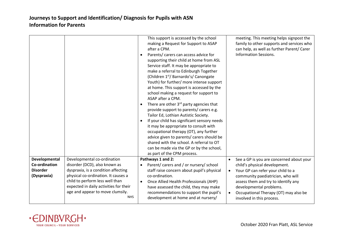|                 |                                                                           | This support is accessed by the school<br>making a Request for Support to ASAP<br>after a CPM.<br>Parents/ carers can access advice for<br>supporting their child at home from ASL<br>Service staff. It may be appropriate to<br>make a referral to Edinburgh Together<br>(Children 1 <sup>st</sup> / Barnardo's/ Canongate<br>Youth) for further/ more intense support<br>at home. This support is accessed by the<br>school making a request for support to<br>ASAP after a CPM.<br>There are other 3 <sup>rd</sup> party agencies that<br>provide support to parents/ carers e.g.<br>Tailor Ed, Lothian Autistic Society.<br>If your child has significant sensory needs<br>it may be appropriate to consult with<br>occupational therapy (OT), any further<br>advice given to parents/ carers should be<br>shared with the school. A referral to OT<br>can be made via the GP or by the school,<br>as part of the CPM process. | meeting. This meeting helps signpost the<br>family to other supports and services who<br>can help, as well as further Parent/ Carer<br><b>Information Sessions.</b> |
|-----------------|---------------------------------------------------------------------------|------------------------------------------------------------------------------------------------------------------------------------------------------------------------------------------------------------------------------------------------------------------------------------------------------------------------------------------------------------------------------------------------------------------------------------------------------------------------------------------------------------------------------------------------------------------------------------------------------------------------------------------------------------------------------------------------------------------------------------------------------------------------------------------------------------------------------------------------------------------------------------------------------------------------------------|---------------------------------------------------------------------------------------------------------------------------------------------------------------------|
| Developmental   | Developmental co-ordination                                               | Pathways 1 and 2:                                                                                                                                                                                                                                                                                                                                                                                                                                                                                                                                                                                                                                                                                                                                                                                                                                                                                                                  | See a GP is you are concerned about your<br>$\bullet$                                                                                                               |
| Co-ordination   | disorder (DCD), also known as                                             | Parent/ carers and / or nursery/ school                                                                                                                                                                                                                                                                                                                                                                                                                                                                                                                                                                                                                                                                                                                                                                                                                                                                                            | child's physical development.                                                                                                                                       |
| <b>Disorder</b> | dyspraxia, is a condition affecting                                       | staff raise concern about pupil's physical                                                                                                                                                                                                                                                                                                                                                                                                                                                                                                                                                                                                                                                                                                                                                                                                                                                                                         | Your GP can refer your child to a<br>$\bullet$                                                                                                                      |
| (Dyspraxia)     | physical co-ordination. It causes a                                       | co-ordination.                                                                                                                                                                                                                                                                                                                                                                                                                                                                                                                                                                                                                                                                                                                                                                                                                                                                                                                     | community paediatrician, who will                                                                                                                                   |
|                 | child to perform less well than<br>expected in daily activities for their | Once Allied Health Professionals (AHP)<br>have assessed the child, they may make                                                                                                                                                                                                                                                                                                                                                                                                                                                                                                                                                                                                                                                                                                                                                                                                                                                   | assess them and try to identify any<br>developmental problems.                                                                                                      |
|                 | age and appear to move clumsily.                                          | recommendations to support the pupil's                                                                                                                                                                                                                                                                                                                                                                                                                                                                                                                                                                                                                                                                                                                                                                                                                                                                                             | Occupational Therapy (OT) may also be<br>$\bullet$                                                                                                                  |
|                 | <b>NHS</b>                                                                | development at home and at nursery/                                                                                                                                                                                                                                                                                                                                                                                                                                                                                                                                                                                                                                                                                                                                                                                                                                                                                                | involved in this process.                                                                                                                                           |

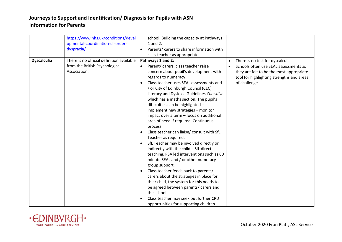|                    | https://www.nhs.uk/conditions/devel<br>opmental-coordination-disorder-<br>dyspraxia/        | school. Building the capacity at Pathways<br>1 and 2.<br>Parents/ carers to share information with<br>$\bullet$<br>class teacher as appropriate.                                                                                                                                                                                                                                                                                                                                                                                                                                                                                                                                                                                                                                                                                                                                                                                                                                                                                                                      |                                                                                                                                                                                                                |
|--------------------|---------------------------------------------------------------------------------------------|-----------------------------------------------------------------------------------------------------------------------------------------------------------------------------------------------------------------------------------------------------------------------------------------------------------------------------------------------------------------------------------------------------------------------------------------------------------------------------------------------------------------------------------------------------------------------------------------------------------------------------------------------------------------------------------------------------------------------------------------------------------------------------------------------------------------------------------------------------------------------------------------------------------------------------------------------------------------------------------------------------------------------------------------------------------------------|----------------------------------------------------------------------------------------------------------------------------------------------------------------------------------------------------------------|
| <b>Dyscalculia</b> | There is no official definition available<br>from the British Psychological<br>Association. | Pathways 1 and 2:<br>Parent/ carers, class teacher raise<br>$\bullet$<br>concern about pupil's development with<br>regards to numeracy.<br>Class teacher uses SEAL assessments and<br>/ or City of Edinburgh Council (CEC)<br>Literacy and Dyslexia Guidelines Checklist<br>which has a maths section. The pupil's<br>difficulties can be highlighted -<br>implement new strategies - monitor<br>impact over a term - focus on additional<br>area of need if required. Continuous<br>process.<br>Class teacher can liaise/ consult with SfL<br>$\bullet$<br>Teacher as required.<br>SfL Teacher may be involved directly or<br>indirectly with the child - SfL direct<br>teaching, PSA led interventions such as 60<br>minute SEAL and / or other numeracy<br>group support.<br>Class teacher feeds back to parents/<br>$\bullet$<br>carers about the strategies in place for<br>their child, the system for this needs to<br>be agreed between parents/ carers and<br>the school.<br>Class teacher may seek out further CPD<br>opportunities for supporting children | There is no test for dyscalculia.<br>$\bullet$<br>Schools often use SEAL assessments as<br>$\bullet$<br>they are felt to be the most appropriate<br>tool for highlighting strengths and areas<br>of challenge. |

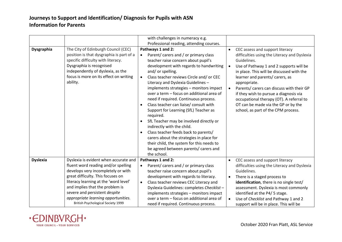|                   |                                                                                                                                                                                                                                                                                                                                                          | with challenges in numeracy e.g.<br>Professional reading, attending courses.                                                                                                                                                                                                                                                                                                                                                                                                                                                                                                                                                                                                                                                                                                                                            |                                     |                                                                                                                                                                                                                                                                                                                                                                                                                                                            |
|-------------------|----------------------------------------------------------------------------------------------------------------------------------------------------------------------------------------------------------------------------------------------------------------------------------------------------------------------------------------------------------|-------------------------------------------------------------------------------------------------------------------------------------------------------------------------------------------------------------------------------------------------------------------------------------------------------------------------------------------------------------------------------------------------------------------------------------------------------------------------------------------------------------------------------------------------------------------------------------------------------------------------------------------------------------------------------------------------------------------------------------------------------------------------------------------------------------------------|-------------------------------------|------------------------------------------------------------------------------------------------------------------------------------------------------------------------------------------------------------------------------------------------------------------------------------------------------------------------------------------------------------------------------------------------------------------------------------------------------------|
| <b>Dysgraphia</b> | The City of Edinburgh Council (CEC)<br>position is that dysgraphia is part of a<br>specific difficulty with literacy.<br>Dysgraphia is recognised<br>independently of dyslexia, as the<br>focus is more on its effect on writing<br>ability.                                                                                                             | Pathways 1 and 2:<br>Parent/ carers and / or primary class<br>$\bullet$<br>teacher raise concern about pupil's<br>development with regards to handwriting<br>and/ or spelling.<br>Class teacher reviews Circle and/ or CEC<br>$\bullet$<br>Literacy and Dyslexia Guidelines -<br>implements strategies - monitors impact<br>over a term - focus on additional area of<br>need if required. Continuous process.<br>Class teacher can liaise/ consult with<br>$\bullet$<br>Support for Learning (SfL) Teacher as<br>required.<br>SfL Teacher may be involved directly or<br>$\bullet$<br>indirectly with the child.<br>Class teacher feeds back to parents/<br>$\bullet$<br>carers about the strategies in place for<br>their child, the system for this needs to<br>be agreed between parents/ carers and<br>the school. | $\bullet$<br>$\bullet$<br>$\bullet$ | CEC assess and support literacy<br>difficulties using the Literacy and Dyslexia<br>Guidelines.<br>Use of Pathway 1 and 2 supports will be<br>in place. This will be discussed with the<br>learner and parents/ carers, as<br>appropriate.<br>Parents/ carers can discuss with their GP<br>if they wish to pursue a diagnosis via<br>occupational therapy (OT). A referral to<br>OT can be made via the GP or by the<br>school, as part of the CPM process. |
| <b>Dyslexia</b>   | Dyslexia is evident when accurate and<br>fluent word reading and/or spelling<br>develops very incompletely or with<br>great difficulty. This focuses on<br>literacy learning at the 'word level'<br>and implies that the problem is<br>severe and persistent despite<br>appropriate learning opportunities.<br><b>British Psychological Society 1999</b> | Pathways 1 and 2:<br>Parent/ carers and / or primary class<br>teacher raise concern about pupil's<br>development with regards to literacy.<br>Class teacher reviews CEC Literacy and<br>$\bullet$<br>Dyslexia Guidelines: completes Checklist-<br>implements strategies - monitors impact<br>over a term - focus on additional area of<br>need if required. Continuous process.                                                                                                                                                                                                                                                                                                                                                                                                                                         | $\bullet$<br>$\bullet$<br>$\bullet$ | CEC assess and support literacy<br>difficulties using the Literacy and Dyslexia<br>Guidelines.<br>There is a staged process to<br>identification, there is no single test/<br>assessment. Dyslexia is most commonly<br>identified at the P4/5 stage.<br>Use of Checklist and Pathway 1 and 2<br>support will be in place. This will be                                                                                                                     |

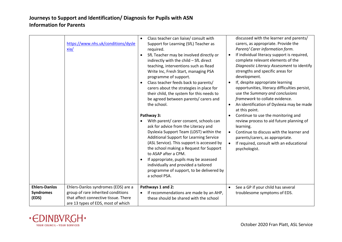| https://www.nhs.uk/conditions/dysle<br>xia/                                                                                                                                                                  | Class teacher can liaise/ consult with<br>Support for Learning (SfL) Teacher as<br>required.<br>SfL Teacher may be involved directly or<br>indirectly with the child - SfL direct<br>teaching, interventions such as Read<br>Write Inc, Fresh Start, managing PSA<br>programme of support.<br>Class teacher feeds back to parents/<br>carers about the strategies in place for<br>their child, the system for this needs to<br>be agreed between parents/ carers and<br>the school.<br>Pathway 3:<br>With parent/ carer consent, schools can<br>ask for advice from the Literacy and<br>Dyslexia Support Team (LDST) within the<br>Additional Support for Learning Service<br>(ASL Service). This support is accessed by<br>the school making a Request for Support<br>to ASAP after a CPM.<br>If appropriate, pupils may be assessed<br>individually and provided a tailored<br>programme of support, to be delivered by | discussed with the learner and parents/<br>carers, as appropriate. Provide the<br>Parent/ Carer information form.<br>If individual literacy support is required,<br>$\bullet$<br>complete relevant elements of the<br>Diagnostic Literacy Assessment to identify<br>strengths and specific areas for<br>development.<br>If, despite appropriate learning<br>$\bullet$<br>opportunities, literacy difficulties persist,<br>use the Summary and conclusions<br>framework to collate evidence.<br>An identification of Dyslexia may be made<br>$\bullet$<br>at this point.<br>Continue to use the monitoring and<br>$\bullet$<br>review process to aid future planning of<br>learning.<br>Continue to discuss with the learner and<br>$\bullet$<br>parents/carers, as appropriate.<br>If required, consult with an educational<br>$\bullet$<br>psychologist. |
|--------------------------------------------------------------------------------------------------------------------------------------------------------------------------------------------------------------|---------------------------------------------------------------------------------------------------------------------------------------------------------------------------------------------------------------------------------------------------------------------------------------------------------------------------------------------------------------------------------------------------------------------------------------------------------------------------------------------------------------------------------------------------------------------------------------------------------------------------------------------------------------------------------------------------------------------------------------------------------------------------------------------------------------------------------------------------------------------------------------------------------------------------|-----------------------------------------------------------------------------------------------------------------------------------------------------------------------------------------------------------------------------------------------------------------------------------------------------------------------------------------------------------------------------------------------------------------------------------------------------------------------------------------------------------------------------------------------------------------------------------------------------------------------------------------------------------------------------------------------------------------------------------------------------------------------------------------------------------------------------------------------------------|
| <b>Ehlers-Danlos</b><br>Ehlers-Danlos syndromes (EDS) are a<br>group of rare inherited conditions<br><b>Syndromes</b><br>that affect connective tissue. There<br>(EDS)<br>are 13 types of EDS, most of which | a school PSA.<br>Pathways 1 and 2:<br>If recommendations are made by an AHP,<br>these should be shared with the school                                                                                                                                                                                                                                                                                                                                                                                                                                                                                                                                                                                                                                                                                                                                                                                                    | See a GP if your child has several<br>$\bullet$<br>troublesome symptoms of EDS.                                                                                                                                                                                                                                                                                                                                                                                                                                                                                                                                                                                                                                                                                                                                                                           |

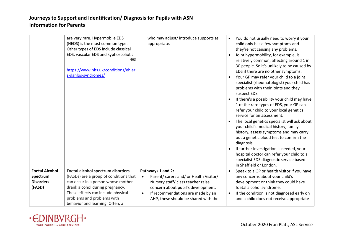|                                        | are very rare. Hypermobile EDS<br>(HEDS) is the most common type.<br>Other types of EDS include classical<br>EDS, vascular EDS and kyphoscoliotic.<br><b>NHS</b><br>https://www.nhs.uk/conditions/ehler<br>s-danlos-syndromes/ | who may adjust/introduce supports as<br>appropriate.                                                                                                                                                                      | $\bullet$<br>$\bullet$ | You do not usually need to worry if your<br>child only has a few symptoms and<br>they're not causing any problems.<br>Joint hypermobility, for example, is<br>relatively common, affecting around 1 in<br>30 people. So it's unlikely to be caused by<br>EDS if there are no other symptoms.<br>Your GP may refer your child to a joint<br>specialist (rheumatologist) your child has<br>problems with their joints and they<br>suspect EDS.<br>If there's a possibility your child may have<br>1 of the rare types of EDS, your GP can<br>refer your child to your local genetics<br>service for an assessment.<br>The local genetics specialist will ask about<br>your child's medical history, family<br>history, assess symptoms and may carry<br>out a genetic blood test to confirm the<br>diagnosis.<br>If further investigation is needed, your<br>hospital doctor can refer your child to a<br>specialist EDS diagnostic service based |
|----------------------------------------|--------------------------------------------------------------------------------------------------------------------------------------------------------------------------------------------------------------------------------|---------------------------------------------------------------------------------------------------------------------------------------------------------------------------------------------------------------------------|------------------------|-------------------------------------------------------------------------------------------------------------------------------------------------------------------------------------------------------------------------------------------------------------------------------------------------------------------------------------------------------------------------------------------------------------------------------------------------------------------------------------------------------------------------------------------------------------------------------------------------------------------------------------------------------------------------------------------------------------------------------------------------------------------------------------------------------------------------------------------------------------------------------------------------------------------------------------------------|
| <b>Foetal Alcohol</b>                  | Foetal alcohol spectrum disorders                                                                                                                                                                                              | Pathways 1 and 2:                                                                                                                                                                                                         | $\bullet$              | in Sheffield or London.<br>Speak to a GP or health visitor if you have                                                                                                                                                                                                                                                                                                                                                                                                                                                                                                                                                                                                                                                                                                                                                                                                                                                                          |
| Spectrum<br><b>Disorders</b><br>(FASD) | (FASDs) are a group of conditions that<br>can occur in a person whose mother<br>drank alcohol during pregnancy.<br>These effects can include physical<br>problems and problems with<br>behavior and learning. Often, a         | Parent/ carers and/ or Health Visitor/<br>$\bullet$<br>Nursery staff/ class teacher raise<br>concern about pupil's development.<br>If recommendations are made by an<br>$\bullet$<br>AHP, these should be shared with the | $\bullet$              | any concerns about your child's<br>development or think they could have<br>foetal alcohol syndrome.<br>If the condition is not diagnosed early on<br>and a child does not receive appropriate                                                                                                                                                                                                                                                                                                                                                                                                                                                                                                                                                                                                                                                                                                                                                   |

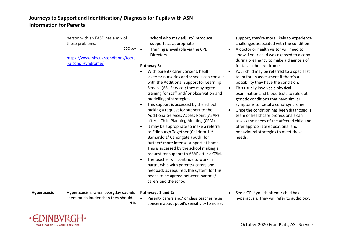|                    | person with an FASD has a mix of<br>these problems.<br>CDC.gov<br>https://www.nhs.uk/conditions/foeta<br>l-alcohol-syndrome/ | school who may adjust/introduce<br>supports as appropriate.<br>Training is available via the CPD<br>$\bullet$<br>Directory.<br>Pathway 3:<br>With parent/ carer consent, health<br>visitors/ nurseries and schools can consult<br>with the Additional Support for Learning<br>Service (ASL Service); they may agree<br>training for staff and/or observation and<br>modelling of strategies.<br>This support is accessed by the school<br>making a request for support to the<br>Additional Services Access Point (ASAP)<br>after a Child Planning Meeting (CPM).<br>It may be appropriate to make a referral<br>to Edinburgh Together (Children 1st/<br>Barnardo's/ Canongate Youth) for<br>further/ more intense support at home.<br>This is accessed by the school making a<br>request for support to ASAP after a CPM.<br>The teacher will continue to work in<br>$\bullet$<br>partnership with parents/ carers and<br>feedback as required, the system for this<br>needs to be agreed between parents/<br>carers and the school. | $\bullet$<br>$\bullet$<br>$\bullet$ | support, they're more likely to experience<br>challenges associated with the condition.<br>A doctor or health visitor will need to<br>know if your child was exposed to alcohol<br>during pregnancy to make a diagnosis of<br>foetal alcohol syndrome.<br>Your child may be referred to a specialist<br>team for an assessment if there's a<br>possibility they have the condition.<br>This usually involves a physical<br>examination and blood tests to rule out<br>genetic conditions that have similar<br>symptoms to foetal alcohol syndrome.<br>Once the condition has been diagnosed, a<br>team of healthcare professionals can<br>assess the needs of the affected child and<br>offer appropriate educational and<br>behavioural strategies to meet these<br>needs. |
|--------------------|------------------------------------------------------------------------------------------------------------------------------|---------------------------------------------------------------------------------------------------------------------------------------------------------------------------------------------------------------------------------------------------------------------------------------------------------------------------------------------------------------------------------------------------------------------------------------------------------------------------------------------------------------------------------------------------------------------------------------------------------------------------------------------------------------------------------------------------------------------------------------------------------------------------------------------------------------------------------------------------------------------------------------------------------------------------------------------------------------------------------------------------------------------------------------|-------------------------------------|-----------------------------------------------------------------------------------------------------------------------------------------------------------------------------------------------------------------------------------------------------------------------------------------------------------------------------------------------------------------------------------------------------------------------------------------------------------------------------------------------------------------------------------------------------------------------------------------------------------------------------------------------------------------------------------------------------------------------------------------------------------------------------|
| <b>Hyperacusis</b> | Hyperacusis is when everyday sounds<br>seem much louder than they should.<br><b>NHS</b>                                      | Pathways 1 and 2:<br>Parent/ carers and/ or class teacher raise<br>concern about pupil's sensitivity to noise.                                                                                                                                                                                                                                                                                                                                                                                                                                                                                                                                                                                                                                                                                                                                                                                                                                                                                                                        | $\bullet$                           | See a GP if you think your child has<br>hyperacusis. They will refer to audiology.                                                                                                                                                                                                                                                                                                                                                                                                                                                                                                                                                                                                                                                                                          |

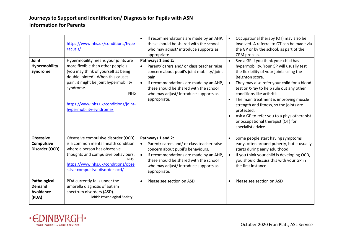| Obsessive compulsive disorder (OCD)<br>Pathways 1 and 2:<br><b>Obsessive</b><br>Some people start having symptoms<br>$\bullet$                                                                                                                                                                                                                                                                                                                                                                                                                                                                                                                                                                                                                                                                                                                                                                                                                                               | They may also refer your child for a blood<br>test or X-ray to help rule out any other<br>The main treatment is improving muscle<br>strength and fitness, so the joints are<br>Ask a GP to refer you to a physiotherapist<br>or occupational therapist (OT) for |
|------------------------------------------------------------------------------------------------------------------------------------------------------------------------------------------------------------------------------------------------------------------------------------------------------------------------------------------------------------------------------------------------------------------------------------------------------------------------------------------------------------------------------------------------------------------------------------------------------------------------------------------------------------------------------------------------------------------------------------------------------------------------------------------------------------------------------------------------------------------------------------------------------------------------------------------------------------------------------|-----------------------------------------------------------------------------------------------------------------------------------------------------------------------------------------------------------------------------------------------------------------|
| is a common mental health condition<br><b>Compulsive</b><br>Parent/ carers and/ or class teacher raise<br>early, often around puberty, but it usually<br>Disorder (OCD)<br>where a person has obsessive<br>concern about pupil's behaviours.<br>starts during early adulthood.<br>thoughts and compulsive behaviours.<br>If recommendations are made by an AHP,<br>If you think your child is developing OCD,<br>$\bullet$<br><b>NHS</b><br>these should be shared with the school<br>you should discuss this with your GP in<br>https://www.nhs.uk/conditions/obse<br>the first instance.<br>who may adjust/introduce supports as<br>ssive-compulsive-disorder-ocd/<br>appropriate.<br>PDA currently falls under the<br>Pathological<br>Please see section on ASD<br>Please see section on ASD<br>$\bullet$<br>$\bullet$<br>umbrella diagnosis of autism<br><b>Demand</b><br><b>Avoidance</b><br>spectrum disorders (ASD).<br><b>British Psychological Society</b><br>(PDA) |                                                                                                                                                                                                                                                                 |